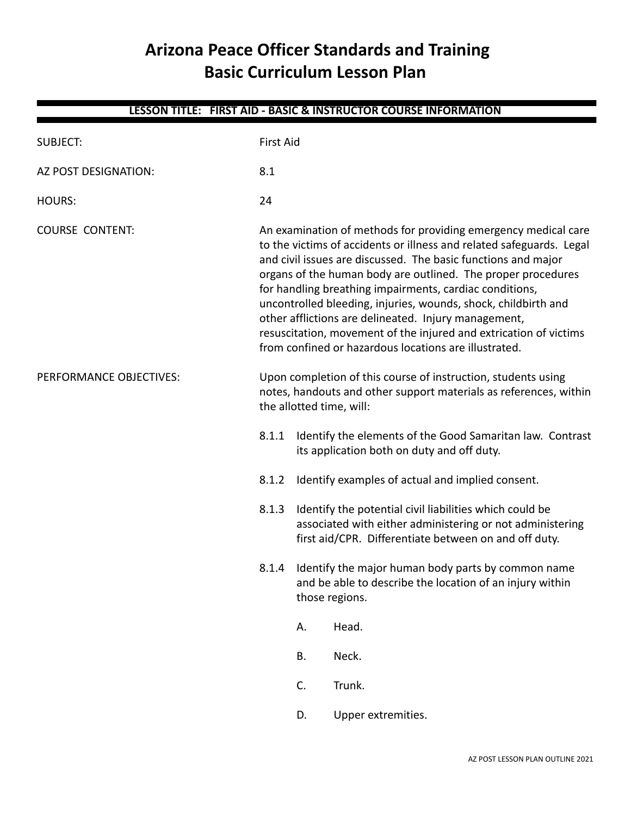# **Arizona Peace Officer Standards and Training Basic Curriculum Lesson Plan**

| LESSON TITLE: FIRST AID - BASIC & INSTRUCTOR COURSE INFORMATION |                          |                                                                                                                                                                                                                                                                                                                                                                                                                                                                                                                                                                                            |                                                                                                                                                                               |  |  |
|-----------------------------------------------------------------|--------------------------|--------------------------------------------------------------------------------------------------------------------------------------------------------------------------------------------------------------------------------------------------------------------------------------------------------------------------------------------------------------------------------------------------------------------------------------------------------------------------------------------------------------------------------------------------------------------------------------------|-------------------------------------------------------------------------------------------------------------------------------------------------------------------------------|--|--|
| <b>SUBJECT:</b>                                                 |                          | <b>First Aid</b>                                                                                                                                                                                                                                                                                                                                                                                                                                                                                                                                                                           |                                                                                                                                                                               |  |  |
| AZ POST DESIGNATION:                                            | 8.1                      |                                                                                                                                                                                                                                                                                                                                                                                                                                                                                                                                                                                            |                                                                                                                                                                               |  |  |
| <b>HOURS:</b>                                                   | 24                       |                                                                                                                                                                                                                                                                                                                                                                                                                                                                                                                                                                                            |                                                                                                                                                                               |  |  |
| <b>COURSE CONTENT:</b>                                          |                          | An examination of methods for providing emergency medical care<br>to the victims of accidents or illness and related safeguards. Legal<br>and civil issues are discussed. The basic functions and major<br>organs of the human body are outlined. The proper procedures<br>for handling breathing impairments, cardiac conditions,<br>uncontrolled bleeding, injuries, wounds, shock, childbirth and<br>other afflictions are delineated. Injury management,<br>resuscitation, movement of the injured and extrication of victims<br>from confined or hazardous locations are illustrated. |                                                                                                                                                                               |  |  |
| PERFORMANCE OBJECTIVES:                                         | the allotted time, will: |                                                                                                                                                                                                                                                                                                                                                                                                                                                                                                                                                                                            | Upon completion of this course of instruction, students using<br>notes, handouts and other support materials as references, within                                            |  |  |
|                                                                 | 8.1.1                    |                                                                                                                                                                                                                                                                                                                                                                                                                                                                                                                                                                                            | Identify the elements of the Good Samaritan law. Contrast<br>its application both on duty and off duty.                                                                       |  |  |
|                                                                 | 8.1.2                    |                                                                                                                                                                                                                                                                                                                                                                                                                                                                                                                                                                                            | Identify examples of actual and implied consent.                                                                                                                              |  |  |
|                                                                 | 8.1.3                    |                                                                                                                                                                                                                                                                                                                                                                                                                                                                                                                                                                                            | Identify the potential civil liabilities which could be<br>associated with either administering or not administering<br>first aid/CPR. Differentiate between on and off duty. |  |  |
|                                                                 | 8.1.4                    | Identify the major human body parts by common name<br>and be able to describe the location of an injury within<br>those regions.                                                                                                                                                                                                                                                                                                                                                                                                                                                           |                                                                                                                                                                               |  |  |
|                                                                 |                          | Α.                                                                                                                                                                                                                                                                                                                                                                                                                                                                                                                                                                                         | Head.                                                                                                                                                                         |  |  |
|                                                                 |                          | Β.                                                                                                                                                                                                                                                                                                                                                                                                                                                                                                                                                                                         | Neck.                                                                                                                                                                         |  |  |
|                                                                 |                          | C.                                                                                                                                                                                                                                                                                                                                                                                                                                                                                                                                                                                         | Trunk.                                                                                                                                                                        |  |  |
|                                                                 |                          | D.                                                                                                                                                                                                                                                                                                                                                                                                                                                                                                                                                                                         | Upper extremities.                                                                                                                                                            |  |  |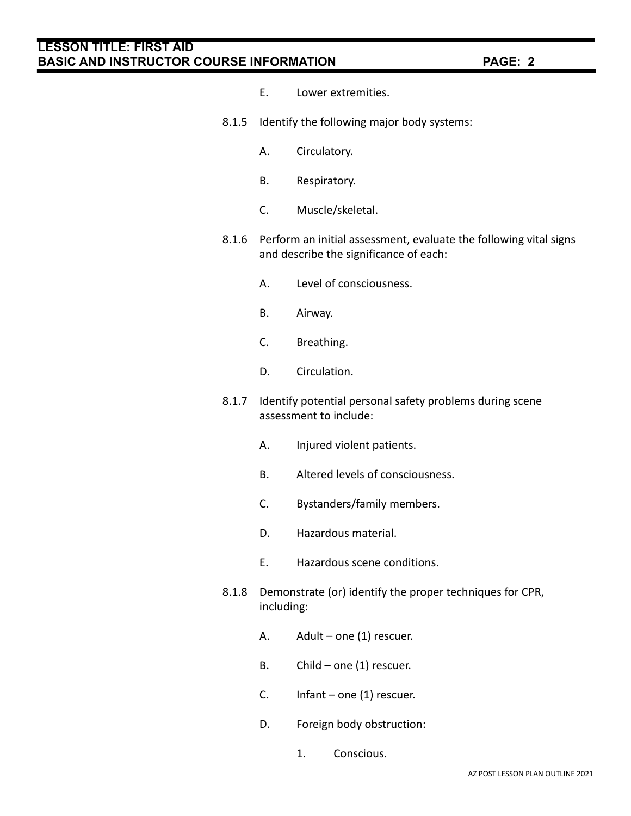- E. Lower extremities.
- 8.1.5 Identify the following major body systems:
	- A. Circulatory.
	- B. Respiratory.
	- C. Muscle/skeletal.
- 8.1.6 Perform an initial assessment, evaluate the following vital signs and describe the significance of each:
	- A. Level of consciousness.
	- B. Airway.
	- C. Breathing.
	- D. Circulation.
- 8.1.7 Identify potential personal safety problems during scene assessment to include:
	- A. Injured violent patients.
	- B. Altered levels of consciousness.
	- C. Bystanders/family members.
	- D. Hazardous material.
	- E. Hazardous scene conditions.
- 8.1.8 Demonstrate (or) identify the proper techniques for CPR, including:
	- A. Adult one (1) rescuer.
	- B. Child one (1) rescuer.
	- C. Infant one (1) rescuer.
	- D. Foreign body obstruction:
		- 1. Conscious.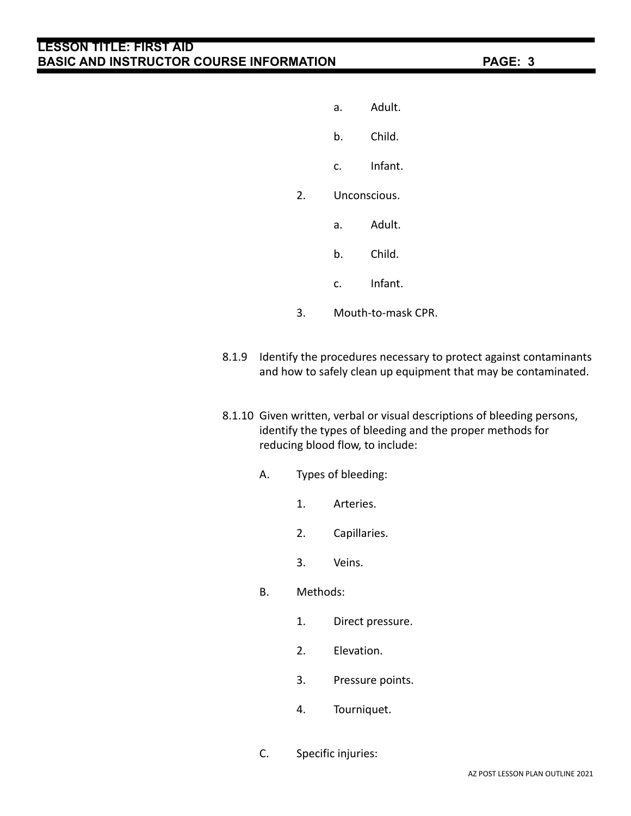- a. Adult.
- b. Child.
- c. Infant.
- 2. Unconscious.
	- a. Adult.
	- b. Child.
	- c. Infant.
- 3. Mouth-to-mask CPR.
- 8.1.9 Identify the procedures necessary to protect against contaminants and how to safely clean up equipment that may be contaminated.
- 8.1.10 Given written, verbal or visual descriptions of bleeding persons, identify the types of bleeding and the proper methods for reducing blood flow, to include:
	- A. Types of bleeding:
		- 1. Arteries.
		- 2. Capillaries.
		- 3. Veins.
	- B. Methods:
		- 1. Direct pressure.
		- 2. Elevation.
		- 3. Pressure points.
		- 4. Tourniquet.
	- C. Specific injuries: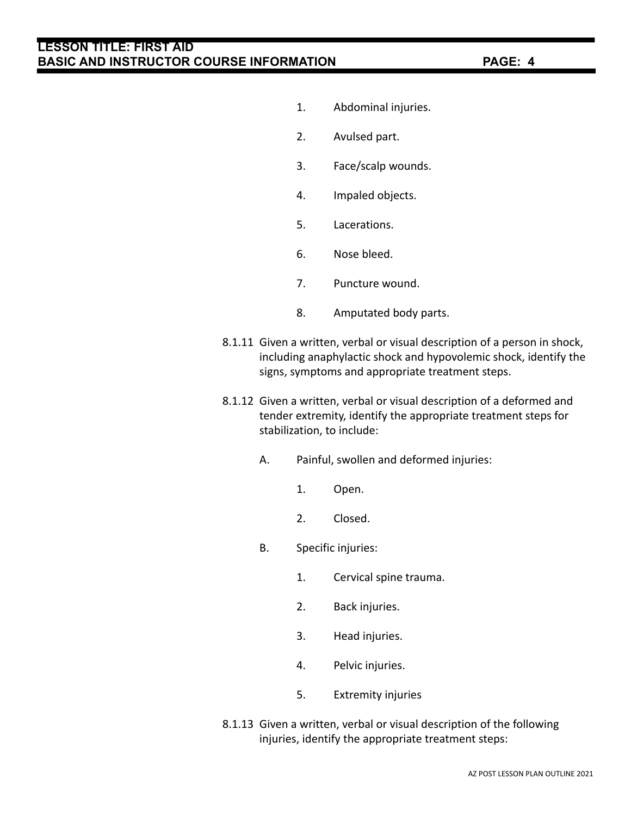- 1. Abdominal injuries.
- 2. Avulsed part.
- 3. Face/scalp wounds.
- 4. Impaled objects.
- 5. Lacerations.
- 6. Nose bleed.
- 7. Puncture wound.
- 8. Amputated body parts.
- 8.1.11 Given a written, verbal or visual description of a person in shock, including anaphylactic shock and hypovolemic shock, identify the signs, symptoms and appropriate treatment steps.
- 8.1.12 Given a written, verbal or visual description of a deformed and tender extremity, identify the appropriate treatment steps for stabilization, to include:
	- A. Painful, swollen and deformed injuries:
		- 1. Open.
		- 2. Closed.
	- B. Specific injuries:
		- 1. Cervical spine trauma.
		- 2. Back injuries.
		- 3. Head injuries.
		- 4. Pelvic injuries.
		- 5. Extremity injuries
- 8.1.13 Given a written, verbal or visual description of the following injuries, identify the appropriate treatment steps: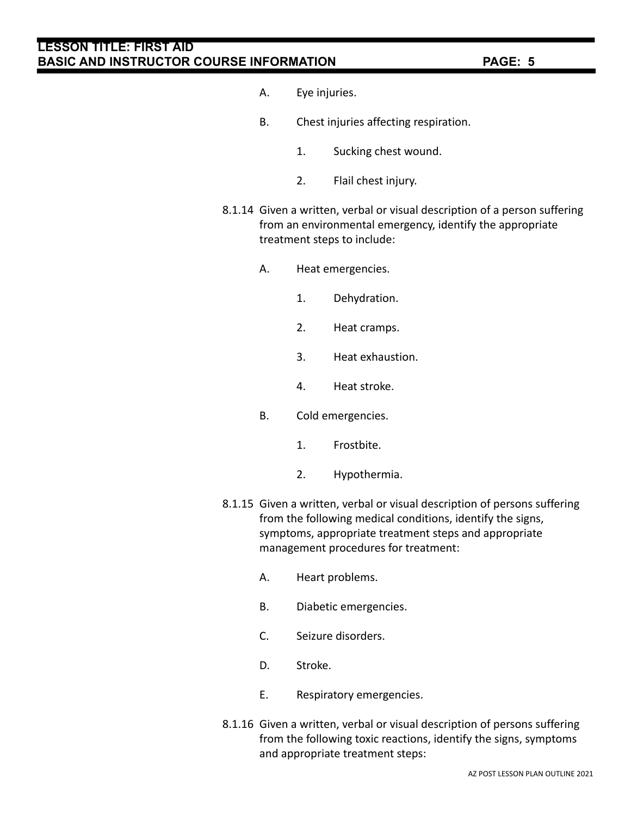- A. Eye injuries.
- B. Chest injuries affecting respiration.
	- 1. Sucking chest wound.
	- 2. Flail chest injury.
- 8.1.14 Given a written, verbal or visual description of a person suffering from an environmental emergency, identify the appropriate treatment steps to include:
	- A. Heat emergencies.
		- 1. Dehydration.
		- 2. Heat cramps.
		- 3. Heat exhaustion.
		- 4. Heat stroke.
	- B. Cold emergencies.
		- 1. Frostbite.
		- 2. Hypothermia.
- 8.1.15 Given a written, verbal or visual description of persons suffering from the following medical conditions, identify the signs, symptoms, appropriate treatment steps and appropriate management procedures for treatment:
	- A. Heart problems.
	- B. Diabetic emergencies.
	- C. Seizure disorders.
	- D. Stroke.
	- E. Respiratory emergencies.
- 8.1.16 Given a written, verbal or visual description of persons suffering from the following toxic reactions, identify the signs, symptoms and appropriate treatment steps: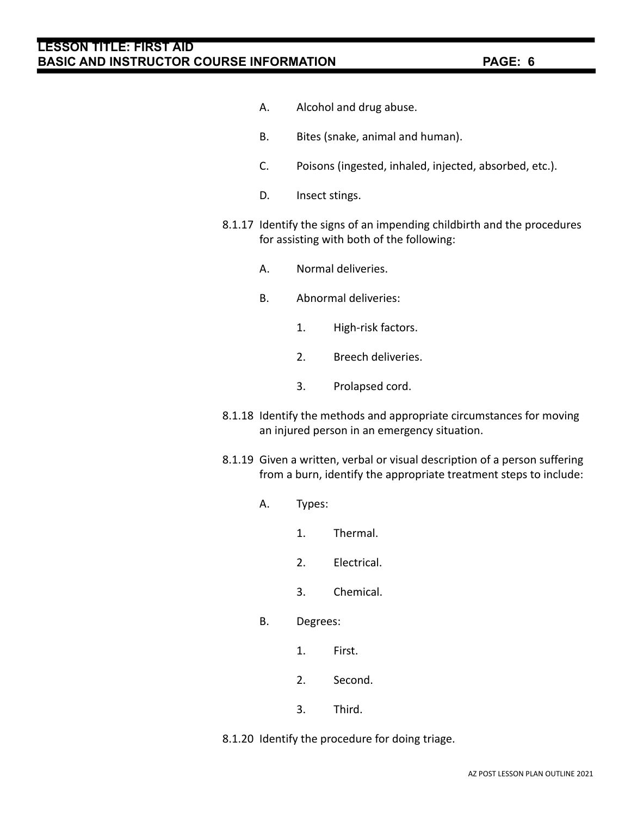- A. Alcohol and drug abuse.
- B. Bites (snake, animal and human).
- C. Poisons (ingested, inhaled, injected, absorbed, etc.).
- D. Insect stings.
- 8.1.17 Identify the signs of an impending childbirth and the procedures for assisting with both of the following:
	- A. Normal deliveries.
	- B. Abnormal deliveries:
		- 1. High-risk factors.
		- 2. Breech deliveries.
		- 3. Prolapsed cord.
- 8.1.18 Identify the methods and appropriate circumstances for moving an injured person in an emergency situation.
- 8.1.19 Given a written, verbal or visual description of a person suffering from a burn, identify the appropriate treatment steps to include:
	- A. Types:
		- 1. Thermal.
		- 2. Electrical.
		- 3. Chemical.
	- B. Degrees:
		- 1. First.
		- 2. Second.
		- 3. Third.

8.1.20 Identify the procedure for doing triage.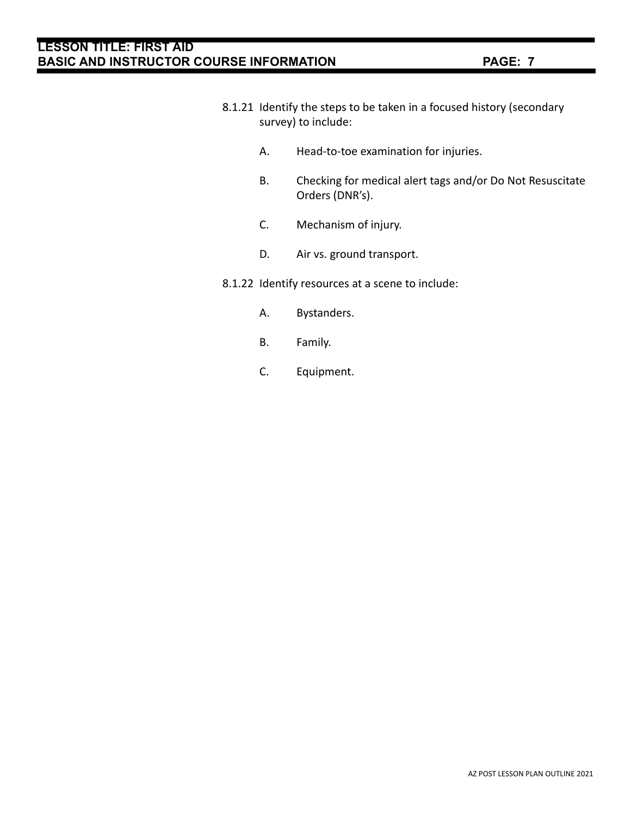- 8.1.21 Identify the steps to be taken in a focused history (secondary survey) to include:
	- A. Head-to-toe examination for injuries.
	- B. Checking for medical alert tags and/or Do Not Resuscitate Orders (DNR's).
	- C. Mechanism of injury.
	- D. Air vs. ground transport.
- 8.1.22 Identify resources at a scene to include:
	- A. Bystanders.
	- B. Family.
	- C. Equipment.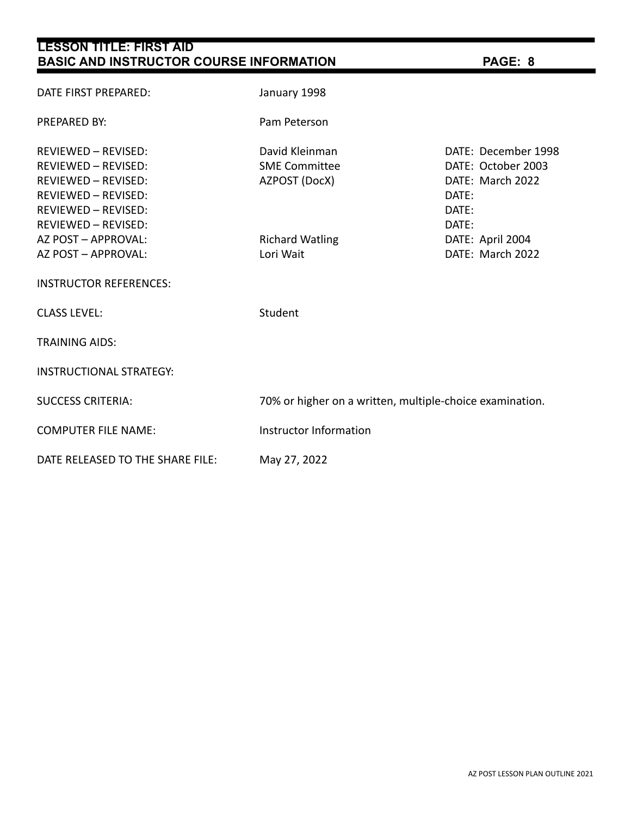| <b>LESSON TITLE: FIRST AID</b><br><b>BASIC AND INSTRUCTOR COURSE INFORMATION</b>                                                                                                                                                           | PAGE: 8                                                                                        |                                                                                                                                  |  |  |
|--------------------------------------------------------------------------------------------------------------------------------------------------------------------------------------------------------------------------------------------|------------------------------------------------------------------------------------------------|----------------------------------------------------------------------------------------------------------------------------------|--|--|
| DATE FIRST PREPARED:                                                                                                                                                                                                                       | January 1998                                                                                   |                                                                                                                                  |  |  |
| <b>PREPARED BY:</b>                                                                                                                                                                                                                        | Pam Peterson                                                                                   |                                                                                                                                  |  |  |
| REVIEWED - REVISED:<br><b>REVIEWED - REVISED:</b><br><b>REVIEWED - REVISED:</b><br>REVIEWED - REVISED:<br><b>REVIEWED - REVISED:</b><br>REVIEWED - REVISED:<br>AZ POST - APPROVAL:<br>AZ POST - APPROVAL:<br><b>INSTRUCTOR REFERENCES:</b> | David Kleinman<br><b>SME Committee</b><br>AZPOST (DocX)<br><b>Richard Watling</b><br>Lori Wait | DATE: December 1998<br>DATE: October 2003<br>DATE: March 2022<br>DATE:<br>DATE:<br>DATE:<br>DATE: April 2004<br>DATE: March 2022 |  |  |
| <b>CLASS LEVEL:</b>                                                                                                                                                                                                                        | Student                                                                                        |                                                                                                                                  |  |  |
| <b>TRAINING AIDS:</b>                                                                                                                                                                                                                      |                                                                                                |                                                                                                                                  |  |  |
| <b>INSTRUCTIONAL STRATEGY:</b>                                                                                                                                                                                                             |                                                                                                |                                                                                                                                  |  |  |
| <b>SUCCESS CRITERIA:</b>                                                                                                                                                                                                                   | 70% or higher on a written, multiple-choice examination.                                       |                                                                                                                                  |  |  |
| <b>COMPUTER FILE NAME:</b>                                                                                                                                                                                                                 | Instructor Information                                                                         |                                                                                                                                  |  |  |
| DATE RELEASED TO THE SHARE FILE:                                                                                                                                                                                                           | May 27, 2022                                                                                   |                                                                                                                                  |  |  |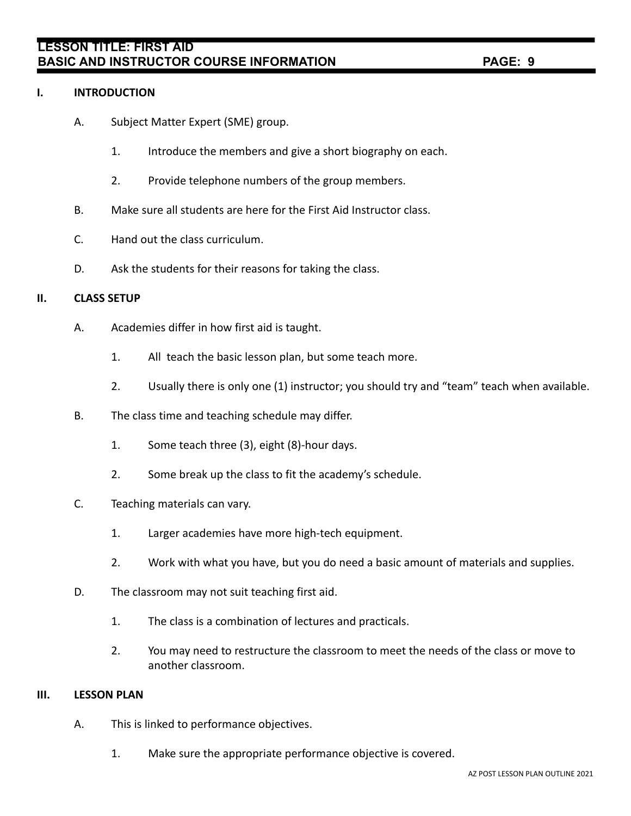## **I. INTRODUCTION**

- A. Subject Matter Expert (SME) group.
	- 1. Introduce the members and give a short biography on each.
	- 2. Provide telephone numbers of the group members.
- B. Make sure all students are here for the First Aid Instructor class.
- C. Hand out the class curriculum.
- D. Ask the students for their reasons for taking the class.

## **II. CLASS SETUP**

- A. Academies differ in how first aid is taught.
	- 1. All teach the basic lesson plan, but some teach more.
	- 2. Usually there is only one (1) instructor; you should try and "team" teach when available.
- B. The class time and teaching schedule may differ.
	- 1. Some teach three (3), eight (8)-hour days.
	- 2. Some break up the class to fit the academy's schedule.
- C. Teaching materials can vary.
	- 1. Larger academies have more high-tech equipment.
	- 2. Work with what you have, but you do need a basic amount of materials and supplies.
- D. The classroom may not suit teaching first aid.
	- 1. The class is a combination of lectures and practicals.
	- 2. You may need to restructure the classroom to meet the needs of the class or move to another classroom.

## **III. LESSON PLAN**

- A. This is linked to performance objectives.
	- 1. Make sure the appropriate performance objective is covered.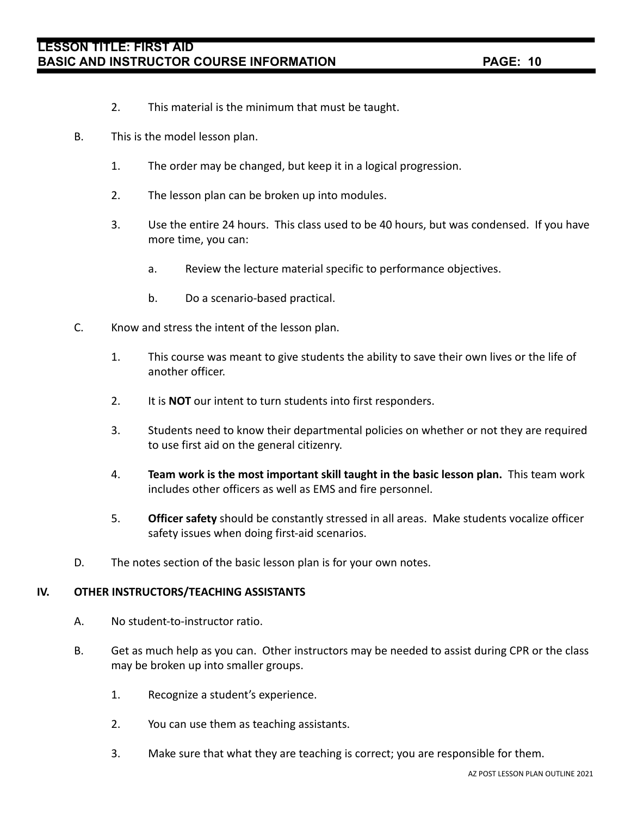- 2. This material is the minimum that must be taught.
- B. This is the model lesson plan.
	- 1. The order may be changed, but keep it in a logical progression.
	- 2. The lesson plan can be broken up into modules.
	- 3. Use the entire 24 hours. This class used to be 40 hours, but was condensed. If you have more time, you can:
		- a. Review the lecture material specific to performance objectives.
		- b. Do a scenario-based practical.
- C. Know and stress the intent of the lesson plan.
	- 1. This course was meant to give students the ability to save their own lives or the life of another officer.
	- 2. It is **NOT** our intent to turn students into first responders.
	- 3. Students need to know their departmental policies on whether or not they are required to use first aid on the general citizenry.
	- 4. **Team work is the most important skill taught in the basic lesson plan.** This team work includes other officers as well as EMS and fire personnel.
	- 5. **Officer safety** should be constantly stressed in all areas. Make students vocalize officer safety issues when doing first-aid scenarios.
- D. The notes section of the basic lesson plan is for your own notes.

## **IV. OTHER INSTRUCTORS/TEACHING ASSISTANTS**

- A. No student-to-instructor ratio.
- B. Get as much help as you can. Other instructors may be needed to assist during CPR or the class may be broken up into smaller groups.
	- 1. Recognize a student's experience.
	- 2. You can use them as teaching assistants.
	- 3. Make sure that what they are teaching is correct; you are responsible for them.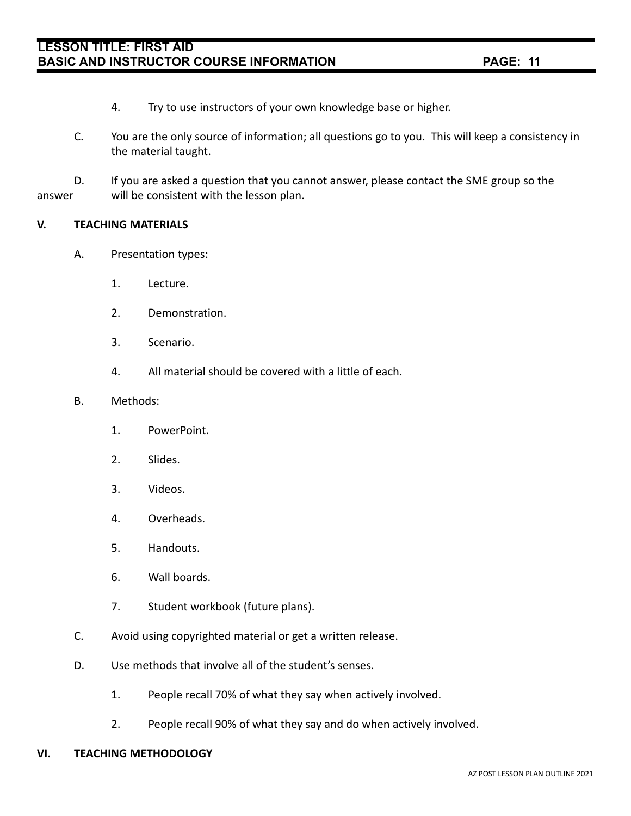- 4. Try to use instructors of your own knowledge base or higher.
- C. You are the only source of information; all questions go to you. This will keep a consistency in the material taught.

D. If you are asked a question that you cannot answer, please contact the SME group so the answer will be consistent with the lesson plan.

## **V. TEACHING MATERIALS**

- A. Presentation types:
	- 1. Lecture.
	- 2. Demonstration.
	- 3. Scenario.
	- 4. All material should be covered with a little of each.

#### B. Methods:

- 1. PowerPoint.
- 2. Slides.
- 3. Videos.
- 4. Overheads.
- 5. Handouts.
- 6. Wall boards.
- 7. Student workbook (future plans).
- C. Avoid using copyrighted material or get a written release.
- D. Use methods that involve all of the student's senses.
	- 1. People recall 70% of what they say when actively involved.
	- 2. People recall 90% of what they say and do when actively involved.

## **VI. TEACHING METHODOLOGY**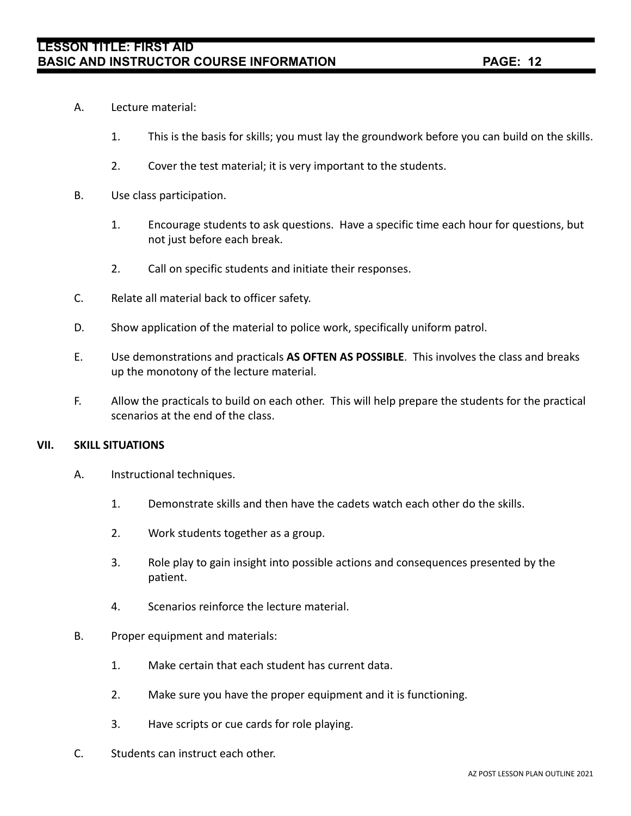- A. Lecture material:
	- 1. This is the basis for skills; you must lay the groundwork before you can build on the skills.
	- 2. Cover the test material; it is very important to the students.
- B. Use class participation.
	- 1. Encourage students to ask questions. Have a specific time each hour for questions, but not just before each break.
	- 2. Call on specific students and initiate their responses.
- C. Relate all material back to officer safety.
- D. Show application of the material to police work, specifically uniform patrol.
- E. Use demonstrations and practicals **AS OFTEN AS POSSIBLE**. This involves the class and breaks up the monotony of the lecture material.
- F. Allow the practicals to build on each other. This will help prepare the students for the practical scenarios at the end of the class.

## **VII. SKILL SITUATIONS**

- A. Instructional techniques.
	- 1. Demonstrate skills and then have the cadets watch each other do the skills.
	- 2. Work students together as a group.
	- 3. Role play to gain insight into possible actions and consequences presented by the patient.
	- 4. Scenarios reinforce the lecture material.
- B. Proper equipment and materials:
	- 1. Make certain that each student has current data.
	- 2. Make sure you have the proper equipment and it is functioning.
	- 3. Have scripts or cue cards for role playing.
- C. Students can instruct each other.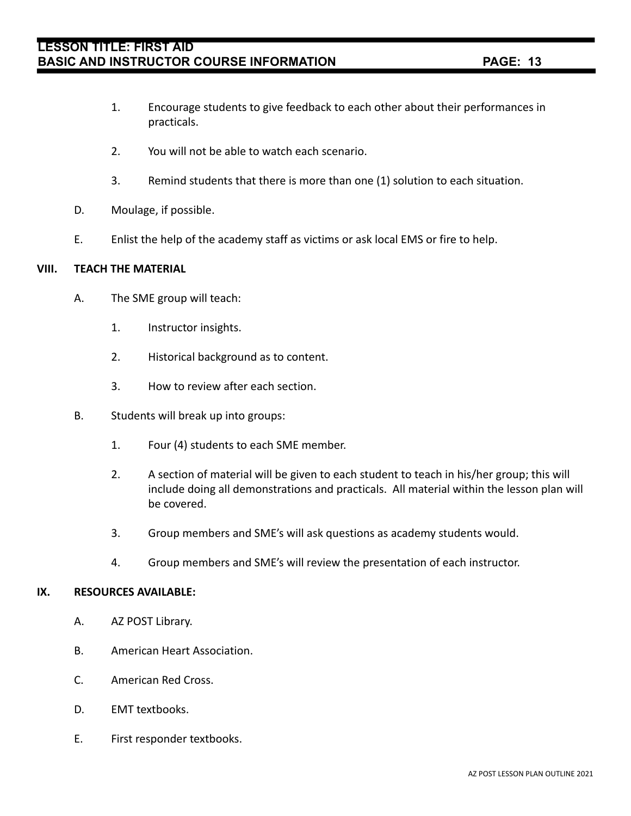- 1. Encourage students to give feedback to each other about their performances in practicals.
- 2. You will not be able to watch each scenario.
- 3. Remind students that there is more than one (1) solution to each situation.
- D. Moulage, if possible.
- E. Enlist the help of the academy staff as victims or ask local EMS or fire to help.

## **VIII. TEACH THE MATERIAL**

- A. The SME group will teach:
	- 1. Instructor insights.
	- 2. Historical background as to content.
	- 3. How to review after each section.
- B. Students will break up into groups:
	- 1. Four (4) students to each SME member.
	- 2. A section of material will be given to each student to teach in his/her group; this will include doing all demonstrations and practicals. All material within the lesson plan will be covered.
	- 3. Group members and SME's will ask questions as academy students would.
	- 4. Group members and SME's will review the presentation of each instructor.

## **IX. RESOURCES AVAILABLE:**

- A. AZ POST Library.
- B. American Heart Association.
- C. American Red Cross.
- D. EMT textbooks.
- E. First responder textbooks.